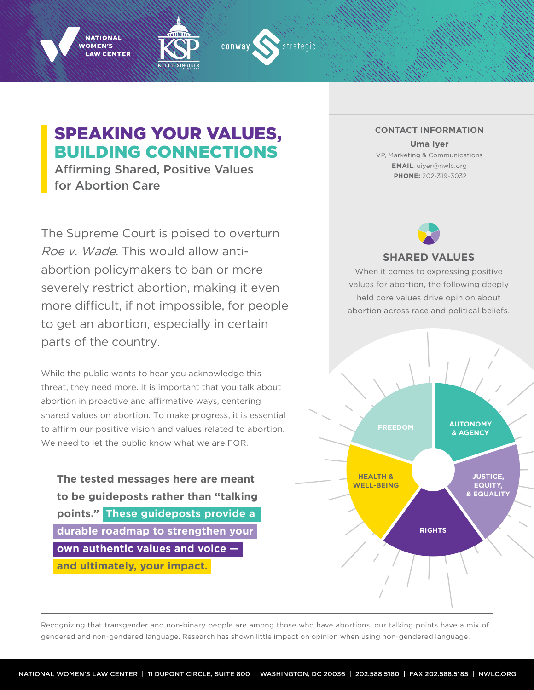





# SPEAKING YOUR VALUES, BUILDING CONNECTIONS

Affirming Shared, Positive Values for Abortion Care

The Supreme Court is poised to overturn Roe v. Wade. This would allow antiabortion policymakers to ban or more severely restrict abortion, making it even more difficult, if not impossible, for people to get an abortion, especially in certain parts of the country.

While the public wants to hear you acknowledge this threat, they need more. It is important that you talk about abortion in proactive and affirmative ways, centering shared values on abortion. To make progress, it is essential to affirm our positive vision and values related to abortion. We need to let the public know what we are FOR.

**The tested messages here are meant to be guideposts rather than "talking points." These guideposts provide a durable roadmap to strengthen your own authentic values and voice and ultimately, your impact.**

**CONTACT INFORMATION Uma Iyer** VP, Marketing & Communications **EMAIL**: uiyer@nwlc.org  **PHONE:** 202-319-3032



# **SHARED VALUES**

When it comes to expressing positive values for abortion, the following deeply held core values drive opinion about abortion across race and political beliefs.



Recognizing that transgender and non-binary people are among those who have abortions, our talking points have a mix of gendered and non-gendered language. Research has shown little impact on opinion when using non-gendered language.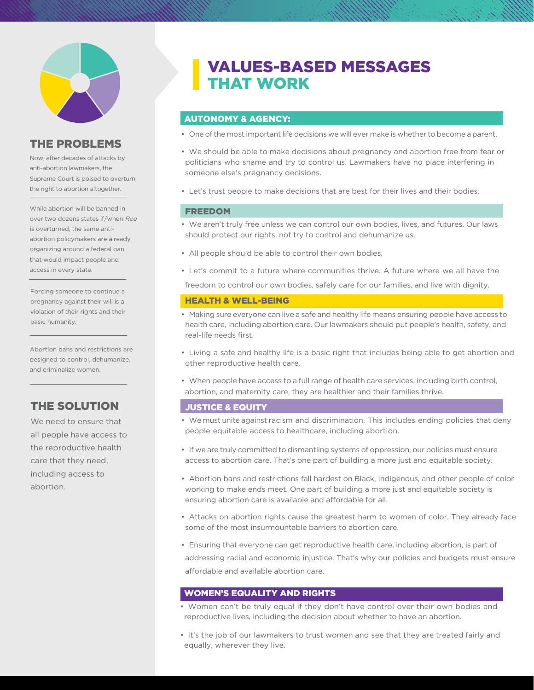

### THE PROBLEMS

Now, after decades of attacks by anti-abortion lawmakers, the Supreme Court is poised to overturn the right to abortion altogether.

While abortion will be banned in over two dozens states if/when Roe is overturned, the same antiabortion policymakers are already organizing around a federal ban that would impact people and access in every state.

Forcing someone to continue a pregnancy against their will is a violation of their rights and their basic humanity.

Abortion bans and restrictions are designed to control, dehumanize, and criminalize women.

# THE SOLUTION

We need to ensure that all people have access to the reproductive health care that they need, including access to abortion.

# VALUES-BASED MESSAGES THAT WORK

### AUTONOMY & AGENCY:

- One of the most important life decisions we will ever make is whether to become a parent.
- We should be able to make decisions about pregnancy and abortion free from fear or politicians who shame and try to control us. Lawmakers have no place interfering in someone else's pregnancy decisions.
- Let's trust people to make decisions that are best for their lives and their bodies.

#### FREEDOM

- We aren't truly free unless we can control our own bodies, lives, and futures. Our laws should protect our rights, not try to control and dehumanize us.
- All people should be able to control their own bodies.
- Let's commit to a future where communities thrive. A future where we all have the

freedom to control our own bodies, safely care for our families, and live with dignity.

#### HEALTH & WELL-BEING

- Making sure everyone can live a safe and healthy life means ensuring people have access to health care, including abortion care. Our lawmakers should put people's health, safety, and real-life needs first.
- Living a safe and healthy life is a basic right that includes being able to get abortion and other reproductive health care.
- When people have access to a full range of health care services, including birth control, abortion, and maternity care, they are healthier and their families thrive.

#### JUSTICE & EQUITY

- We must unite against racism and discrimination. This includes ending policies that deny people equitable access to healthcare, including abortion.
- If we are truly committed to dismantling systems of oppression, our policies must ensure access to abortion care. That's one part of building a more just and equitable society.
- Abortion bans and restrictions fall hardest on Black, Indigenous, and other people of color working to make ends meet. One part of building a more just and equitable society is ensuring abortion care is available and affordable for all.
- Attacks on abortion rights cause the greatest harm to women of color. They already face some of the most insurmountable barriers to abortion care.
- Ensuring that everyone can get reproductive health care, including abortion, is part of addressing racial and economic injustice. That's why our policies and budgets must ensure affordable and available abortion care.

### WOMEN'S EQUALITY AND RIGHTS

- Women can't be truly equal if they don't have control over their own bodies and reproductive lives, including the decision about whether to have an abortion.
- It's the job of our lawmakers to trust women and see that they are treated fairly and equally, wherever they live.